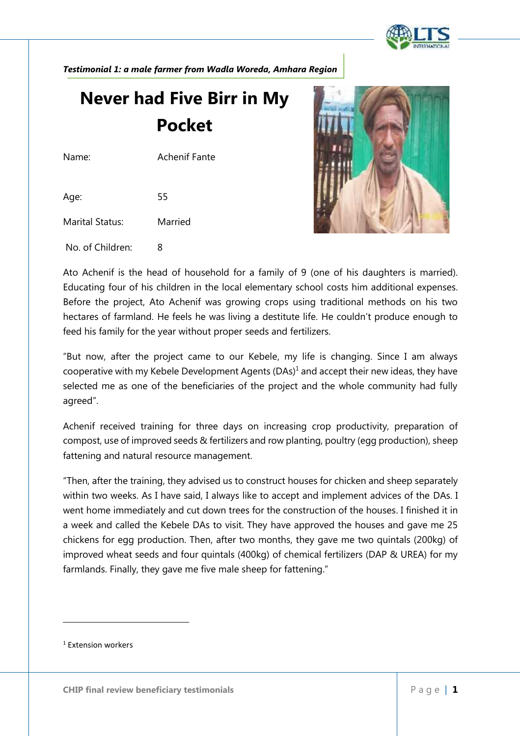

*Testimonial 1: a male farmer from Wadla Woreda, Amhara Region*

## **Never had Five Birr in My Pocket**

Name: Achenif Fante

Age: 55

Marital Status: Married

No. of Children: 8



Ato Achenif is the head of household for a family of 9 (one of his daughters is married). Educating four of his children in the local elementary school costs him additional expenses. Before the project, Ato Achenif was growing crops using traditional methods on his two hectares of farmland. He feels he was living a destitute life. He couldn't produce enough to feed his family for the year without proper seeds and fertilizers.

"But now, after the project came to our Kebele, my life is changing. Since I am always cooperative with my Kebele Development Agents  $(DAs)^1$  and accept their new ideas, they have selected me as one of the beneficiaries of the project and the whole community had fully agreed".

Achenif received training for three days on increasing crop productivity, preparation of compost, use of improved seeds & fertilizers and row planting, poultry (egg production), sheep fattening and natural resource management.

"Then, after the training, they advised us to construct houses for chicken and sheep separately within two weeks. As I have said, I always like to accept and implement advices of the DAs. I went home immediately and cut down trees for the construction of the houses. I finished it in a week and called the Kebele DAs to visit. They have approved the houses and gave me 25 chickens for egg production. Then, after two months, they gave me two quintals (200kg) of improved wheat seeds and four quintals (400kg) of chemical fertilizers (DAP & UREA) for my farmlands. Finally, they gave me five male sheep for fattening."

<sup>1</sup> Extension workers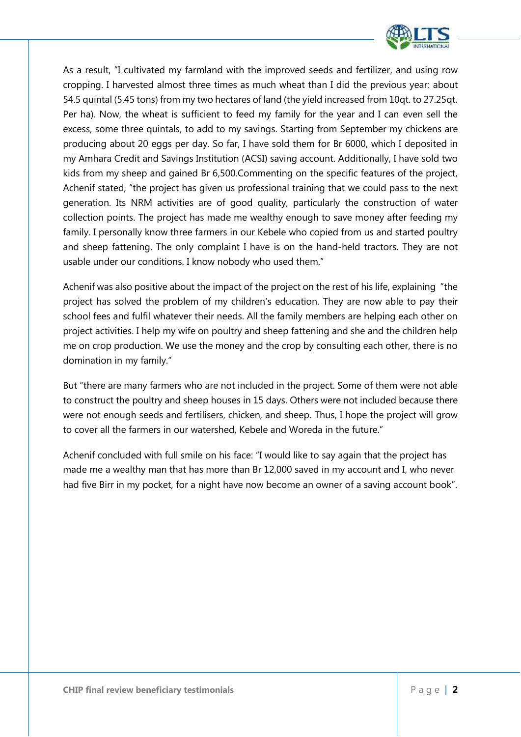

As a result, "I cultivated my farmland with the improved seeds and fertilizer, and using row cropping. I harvested almost three times as much wheat than I did the previous year: about 54.5 quintal (5.45 tons) from my two hectares of land (the yield increased from 10qt. to 27.25qt. Per ha). Now, the wheat is sufficient to feed my family for the year and I can even sell the excess, some three quintals, to add to my savings. Starting from September my chickens are producing about 20 eggs per day. So far, I have sold them for Br 6000, which I deposited in my Amhara Credit and Savings Institution (ACSI) saving account. Additionally, I have sold two kids from my sheep and gained Br 6,500.Commenting on the specific features of the project, Achenif stated, "the project has given us professional training that we could pass to the next generation. Its NRM activities are of good quality, particularly the construction of water collection points. The project has made me wealthy enough to save money after feeding my family. I personally know three farmers in our Kebele who copied from us and started poultry and sheep fattening. The only complaint I have is on the hand-held tractors. They are not usable under our conditions. I know nobody who used them."

Achenif was also positive about the impact of the project on the rest of his life, explaining "the project has solved the problem of my children's education. They are now able to pay their school fees and fulfil whatever their needs. All the family members are helping each other on project activities. I help my wife on poultry and sheep fattening and she and the children help me on crop production. We use the money and the crop by consulting each other, there is no domination in my family."

But "there are many farmers who are not included in the project. Some of them were not able to construct the poultry and sheep houses in 15 days. Others were not included because there were not enough seeds and fertilisers, chicken, and sheep. Thus, I hope the project will grow to cover all the farmers in our watershed, Kebele and Woreda in the future."

Achenif concluded with full smile on his face: "I would like to say again that the project has made me a wealthy man that has more than Br 12,000 saved in my account and I, who never had five Birr in my pocket, for a night have now become an owner of a saving account book".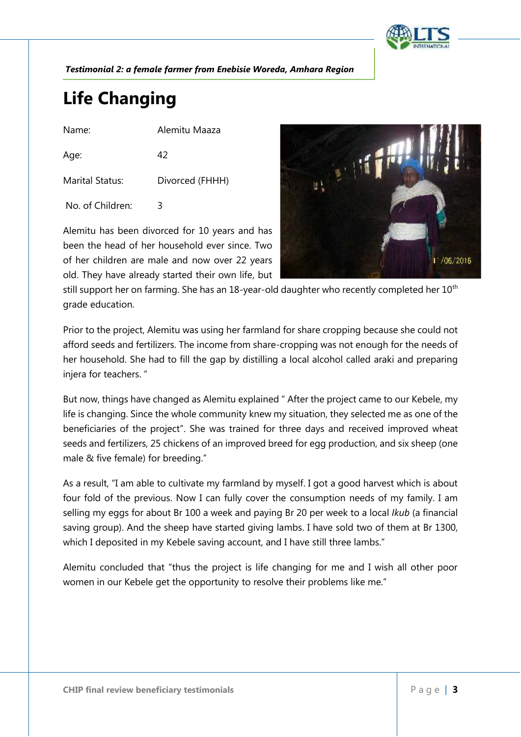

*Testimonial 2: a female farmer from Enebisie Woreda, Amhara Region*

## **Life Changing**

Name: Alemitu Maaza

Age: 42 Marital Status: Divorced (FHHH)

No. of Children: 3

Alemitu has been divorced for 10 years and has been the head of her household ever since. Two of her children are male and now over 22 years old. They have already started their own life, but



still support her on farming. She has an 18-year-old daughter who recently completed her  $10<sup>th</sup>$ grade education.

Prior to the project, Alemitu was using her farmland for share cropping because she could not afford seeds and fertilizers. The income from share-cropping was not enough for the needs of her household. She had to fill the gap by distilling a local alcohol called araki and preparing injera for teachers. "

But now, things have changed as Alemitu explained " After the project came to our Kebele, my life is changing. Since the whole community knew my situation, they selected me as one of the beneficiaries of the project". She was trained for three days and received improved wheat seeds and fertilizers, 25 chickens of an improved breed for egg production, and six sheep (one male & five female) for breeding."

As a result, "I am able to cultivate my farmland by myself. I got a good harvest which is about four fold of the previous. Now I can fully cover the consumption needs of my family. I am selling my eggs for about Br 100 a week and paying Br 20 per week to a local *Ikub* (a financial saving group). And the sheep have started giving lambs. I have sold two of them at Br 1300, which I deposited in my Kebele saving account, and I have still three lambs."

Alemitu concluded that "thus the project is life changing for me and I wish all other poor women in our Kebele get the opportunity to resolve their problems like me."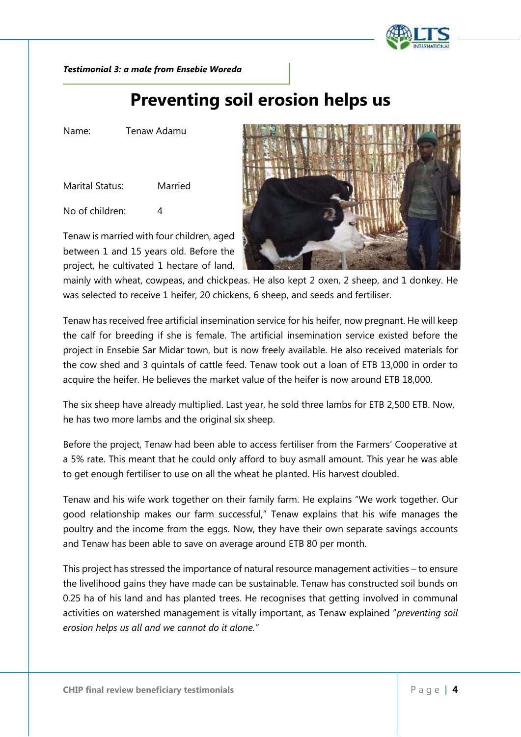

*Testimonial 3: a male from Ensebie Woreda*

### **Preventing soil erosion helps us**

Name: Tenaw Adamu

Marital Status: Married

No of children: 4

Tenaw is married with four children, aged between 1 and 15 years old. Before the project, he cultivated 1 hectare of land,



mainly with wheat, cowpeas, and chickpeas. He also kept 2 oxen, 2 sheep, and 1 donkey. He was selected to receive 1 heifer, 20 chickens, 6 sheep, and seeds and fertiliser.

Tenaw has received free artificial insemination service for his heifer, now pregnant. He will keep the calf for breeding if she is female. The artificial insemination service existed before the project in Ensebie Sar Midar town, but is now freely available. He also received materials for the cow shed and 3 quintals of cattle feed. Tenaw took out a loan of ETB 13,000 in order to acquire the heifer. He believes the market value of the heifer is now around ETB 18,000.

The six sheep have already multiplied. Last year, he sold three lambs for ETB 2,500 ETB. Now, he has two more lambs and the original six sheep.

Before the project, Tenaw had been able to access fertiliser from the Farmers' Cooperative at a 5% rate. This meant that he could only afford to buy asmall amount. This year he was able to get enough fertiliser to use on all the wheat he planted. His harvest doubled.

Tenaw and his wife work together on their family farm. He explains "We work together. Our good relationship makes our farm successful," Tenaw explains that his wife manages the poultry and the income from the eggs. Now, they have their own separate savings accounts and Tenaw has been able to save on average around ETB 80 per month.

**CHIP final review beneficiary testimonials** P a g e | **4** This project has stressed the importance of natural resource management activities – to ensure the livelihood gains they have made can be sustainable. Tenaw has constructed soil bunds on 0.25 ha of his land and has planted trees. He recognises that getting involved in communal activities on watershed management is vitally important, as Tenaw explained "*preventing soil erosion helps us all and we cannot do it alone."*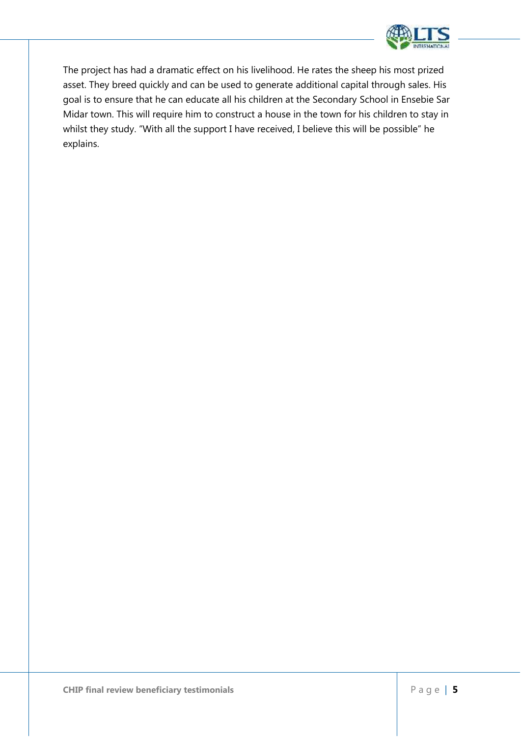

The project has had a dramatic effect on his livelihood. He rates the sheep his most prized asset. They breed quickly and can be used to generate additional capital through sales. His goal is to ensure that he can educate all his children at the Secondary School in Ensebie Sar Midar town. This will require him to construct a house in the town for his children to stay in whilst they study. "With all the support I have received, I believe this will be possible" he explains.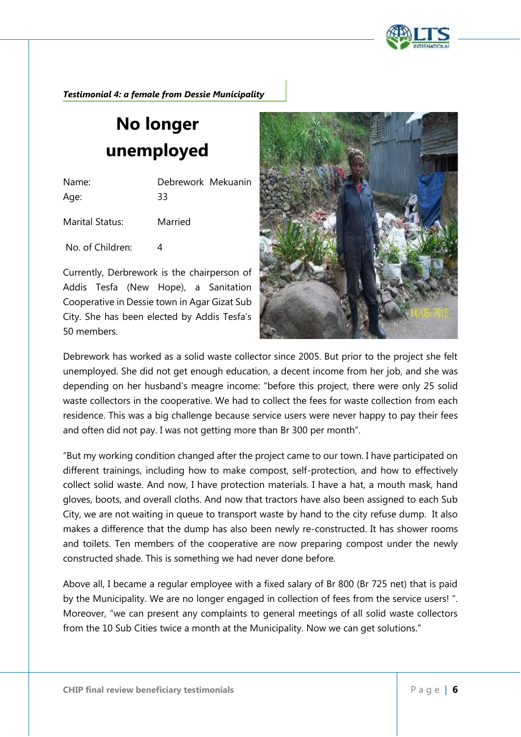

*Testimonial 4: a female from Dessie Municipality*

# **No longer unemployed**

Name: Debrework Mekuanin Age: 33 Marital Status: Married

No. of Children: 4

Currently, Derbrework is the chairperson of Addis Tesfa (New Hope), a Sanitation Cooperative in Dessie town in Agar Gizat Sub City. She has been elected by Addis Tesfa's 50 members.



Debrework has worked as a solid waste collector since 2005. But prior to the project she felt unemployed. She did not get enough education, a decent income from her job, and she was depending on her husband's meagre income: "before this project, there were only 25 solid waste collectors in the cooperative. We had to collect the fees for waste collection from each residence. This was a big challenge because service users were never happy to pay their fees and often did not pay. I was not getting more than Br 300 per month".

"But my working condition changed after the project came to our town. I have participated on different trainings, including how to make compost, self-protection, and how to effectively collect solid waste. And now, I have protection materials. I have a hat, a mouth mask, hand gloves, boots, and overall cloths. And now that tractors have also been assigned to each Sub City, we are not waiting in queue to transport waste by hand to the city refuse dump. It also makes a difference that the dump has also been newly re-constructed. It has shower rooms and toilets. Ten members of the cooperative are now preparing compost under the newly constructed shade. This is something we had never done before.

**CHIP** final review beneficiary testimonials P a g e | **6** Above all, I became a regular employee with a fixed salary of Br 800 (Br 725 net) that is paid by the Municipality. We are no longer engaged in collection of fees from the service users! ". Moreover, "we can present any complaints to general meetings of all solid waste collectors from the 10 Sub Cities twice a month at the Municipality. Now we can get solutions."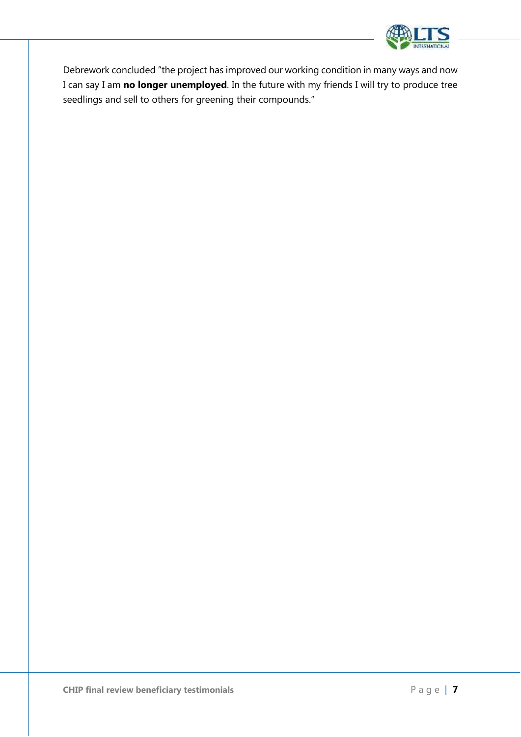

Debrework concluded "the project has improved our working condition in many ways and now I can say I am **no longer unemployed**. In the future with my friends I will try to produce tree seedlings and sell to others for greening their compounds."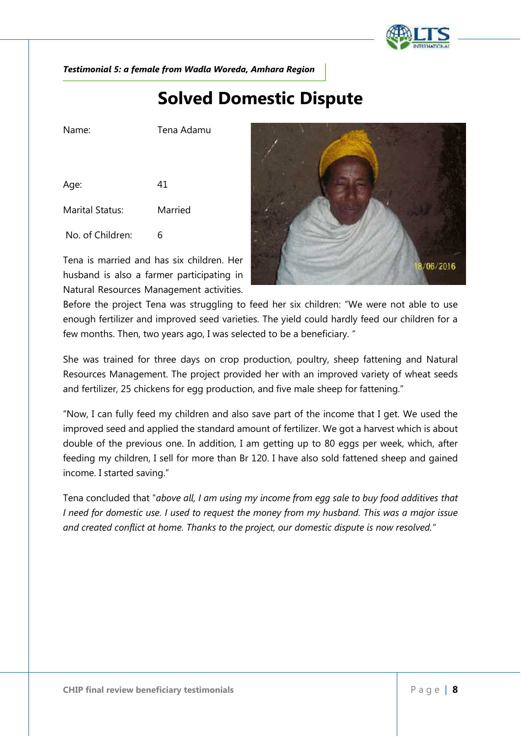

*Testimonial 5: a female from Wadla Woreda, Amhara Region*

#### **Solved Domestic Dispute**

Name: Tena Adamu

Age: 41 Marital Status: Married

No. of Children: 6

Tena is married and has six children. Her husband is also a farmer participating in Natural Resources Management activities.



Before the project Tena was struggling to feed her six children: "We were not able to use enough fertilizer and improved seed varieties. The yield could hardly feed our children for a few months. Then, two years ago, I was selected to be a beneficiary. "

She was trained for three days on crop production, poultry, sheep fattening and Natural Resources Management. The project provided her with an improved variety of wheat seeds and fertilizer, 25 chickens for egg production, and five male sheep for fattening."

"Now, I can fully feed my children and also save part of the income that I get. We used the improved seed and applied the standard amount of fertilizer. We got a harvest which is about double of the previous one. In addition, I am getting up to 80 eggs per week, which, after feeding my children, I sell for more than Br 120. I have also sold fattened sheep and gained income. I started saving."

Tena concluded that "*above all, I am using my income from egg sale to buy food additives that I need for domestic use. I used to request the money from my husband. This was a major issue and created conflict at home. Thanks to the project, our domestic dispute is now resolved."*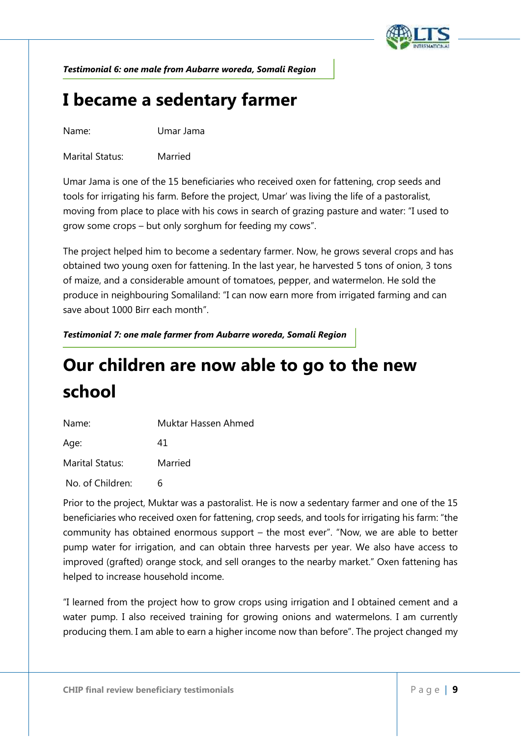

*Testimonial 6: one male from Aubarre woreda, Somali Region*

#### **I became a sedentary farmer**

Name: Umar Jama

Marital Status: Married

Umar Jama is one of the 15 beneficiaries who received oxen for fattening, crop seeds and tools for irrigating his farm. Before the project, Umar' was living the life of a pastoralist, moving from place to place with his cows in search of grazing pasture and water: "I used to grow some crops – but only sorghum for feeding my cows".

The project helped him to become a sedentary farmer. Now, he grows several crops and has obtained two young oxen for fattening. In the last year, he harvested 5 tons of onion, 3 tons of maize, and a considerable amount of tomatoes, pepper, and watermelon. He sold the produce in neighbouring Somaliland: "I can now earn more from irrigated farming and can save about 1000 Birr each month".

*Testimonial 7: one male farmer from Aubarre woreda, Somali Region*

## **Our children are now able to go to the new school**

| Name:                  | Muktar Hassen Ahmed |
|------------------------|---------------------|
| Age:                   | 41                  |
| <b>Marital Status:</b> | Married             |

No. of Children: 6

Prior to the project, Muktar was a pastoralist. He is now a sedentary farmer and one of the 15 beneficiaries who received oxen for fattening, crop seeds, and tools for irrigating his farm: "the community has obtained enormous support – the most ever". "Now, we are able to better pump water for irrigation, and can obtain three harvests per year. We also have access to improved (grafted) orange stock, and sell oranges to the nearby market." Oxen fattening has helped to increase household income.

producing them. I am able to earn a higher income now than before". The project changed my<br> **CHIP** final review beneficiary testimonials
P a g e | 9 "I learned from the project how to grow crops using irrigation and I obtained cement and a water pump. I also received training for growing onions and watermelons. I am currently producing them. I am able to earn a higher income now than before". The project changed my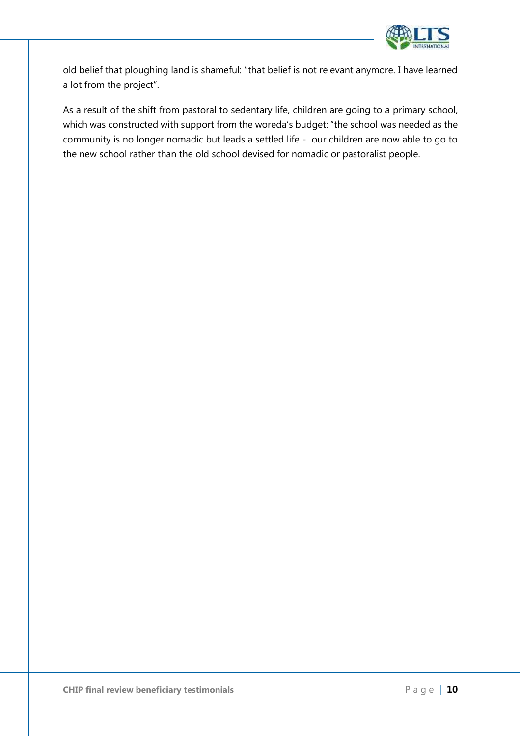

old belief that ploughing land is shameful: "that belief is not relevant anymore. I have learned a lot from the project".

As a result of the shift from pastoral to sedentary life, children are going to a primary school, which was constructed with support from the woreda's budget: "the school was needed as the community is no longer nomadic but leads a settled life - our children are now able to go to the new school rather than the old school devised for nomadic or pastoralist people.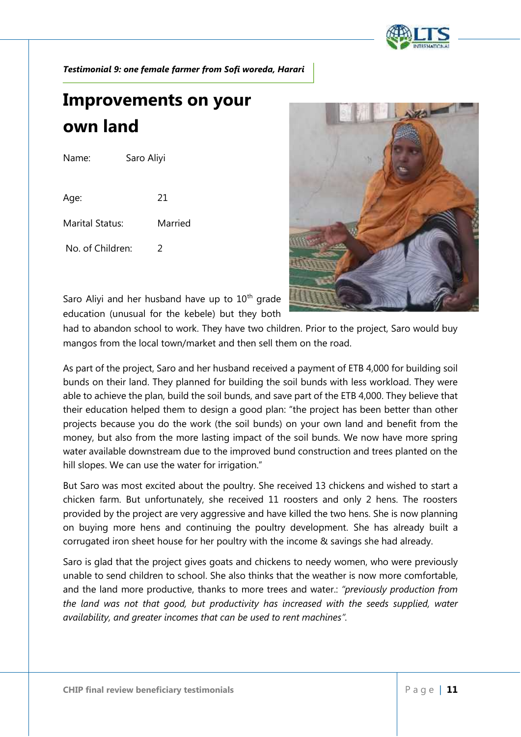

*Testimonial 9: one female farmer from Sofi woreda, Harari*

## **Improvements on your own land**

| Name:            | Saro Aliyi |  |
|------------------|------------|--|
|                  |            |  |
| Age:             | 21         |  |
| Marital Status:  | Married    |  |
| No. of Children: |            |  |



Saro Aliyi and her husband have up to  $10<sup>th</sup>$  grade education (unusual for the kebele) but they both

had to abandon school to work. They have two children. Prior to the project, Saro would buy mangos from the local town/market and then sell them on the road.

As part of the project, Saro and her husband received a payment of ETB 4,000 for building soil bunds on their land. They planned for building the soil bunds with less workload. They were able to achieve the plan, build the soil bunds, and save part of the ETB 4,000. They believe that their education helped them to design a good plan: "the project has been better than other projects because you do the work (the soil bunds) on your own land and benefit from the money, but also from the more lasting impact of the soil bunds. We now have more spring water available downstream due to the improved bund construction and trees planted on the hill slopes. We can use the water for irrigation."

But Saro was most excited about the poultry. She received 13 chickens and wished to start a chicken farm. But unfortunately, she received 11 roosters and only 2 hens. The roosters provided by the project are very aggressive and have killed the two hens. She is now planning on buying more hens and continuing the poultry development. She has already built a corrugated iron sheet house for her poultry with the income & savings she had already.

Saro is glad that the project gives goats and chickens to needy women, who were previously unable to send children to school. She also thinks that the weather is now more comfortable, and the land more productive, thanks to more trees and water.: *"previously production from the land was not that good, but productivity has increased with the seeds supplied, water availability, and greater incomes that can be used to rent machines".*